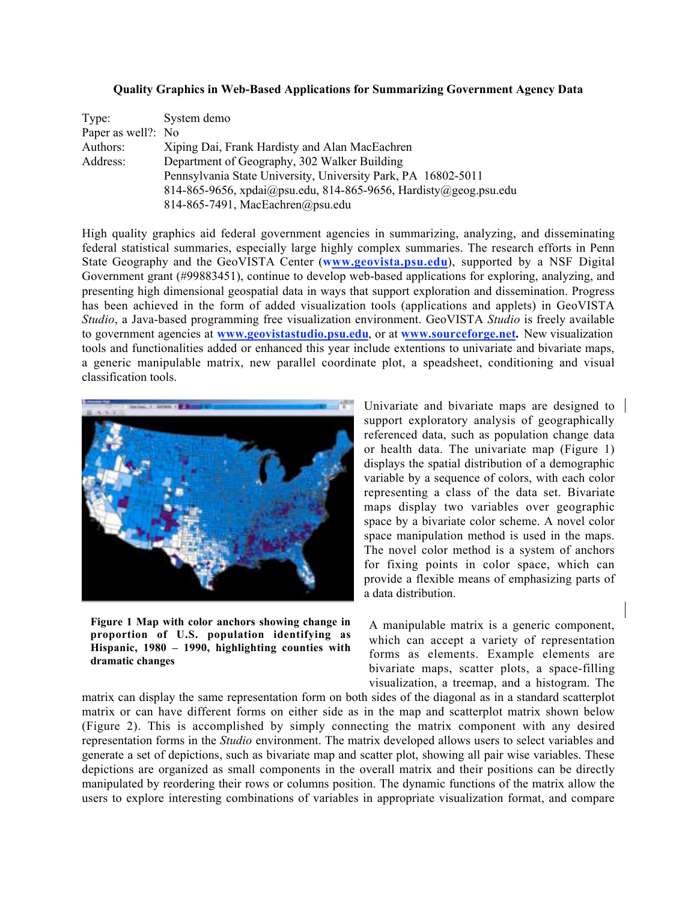## **Quality Graphics in Web-Based Applications for Summarizing Government Agency Data**

| Type:              | System demo                                                      |
|--------------------|------------------------------------------------------------------|
| Paper as well?: No |                                                                  |
| Authors:           | Xiping Dai, Frank Hardisty and Alan MacEachren                   |
| Address:           | Department of Geography, 302 Walker Building                     |
|                    | Pennsylvania State University, University Park, PA 16802-5011    |
|                    | 814-865-9656, xpdai@psu.edu, 814-865-9656, Hardisty@geog.psu.edu |
|                    | 814-865-7491, MacEachren@psu.edu                                 |

High quality graphics aid federal government agencies in summarizing, analyzing, and disseminating federal statistical summaries, especially large highly complex summaries. The research efforts in Penn State Geography and the GeoVISTA Center (**www.geovista.psu.edu**), supported by a NSF Digital Government grant (#99883451), continue to develop web-based applications for exploring, analyzing, and presenting high dimensional geospatial data in ways that support exploration and dissemination. Progress has been achieved in the form of added visualization tools (applications and applets) in GeoVISTA *Studio*, a Java-based programming free visualization environment. GeoVISTA *Studio* is freely available to government agencies at **www.geovistastudio.psu.edu**, or at **www.sourceforge.net.** New visualization tools and functionalities added or enhanced this year include extentions to univariate and bivariate maps, a generic manipulable matrix, new parallel coordinate plot, a speadsheet, conditioning and visual classification tools.



**Figure 1 Map with color anchors showing change in proportion of U.S. population identifying as Hispanic, 1980 – 1990, highlighting counties with dramatic changes**

Univariate and bivariate maps are designed to support exploratory analysis of geographically referenced data, such as population change data or health data. The univariate map (Figure 1) displays the spatial distribution of a demographic variable by a sequence of colors, with each color representing a class of the data set. Bivariate maps display two variables over geographic space by a bivariate color scheme. A novel color space manipulation method is used in the maps. The novel color method is a system of anchors for fixing points in color space, which can provide a flexible means of emphasizing parts of a data distribution.

A manipulable matrix is a generic component, which can accept a variety of representation forms as elements. Example elements are bivariate maps, scatter plots, a space-filling visualization, a treemap, and a histogram. The

matrix can display the same representation form on both sides of the diagonal as in a standard scatterplot matrix or can have different forms on either side as in the map and scatterplot matrix shown below (Figure 2). This is accomplished by simply connecting the matrix component with any desired representation forms in the *Studio* environment. The matrix developed allows users to select variables and generate a set of depictions, such as bivariate map and scatter plot, showing all pair wise variables. These depictions are organized as small components in the overall matrix and their positions can be directly manipulated by reordering their rows or columns position. The dynamic functions of the matrix allow the users to explore interesting combinations of variables in appropriate visualization format, and compare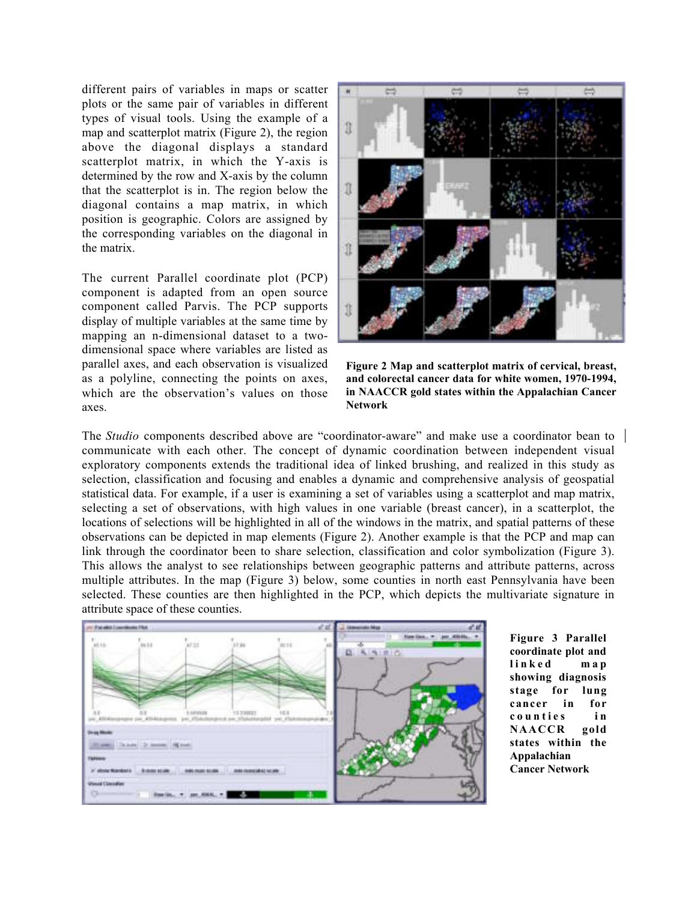different pairs of variables in maps or scatter plots or the same pair of variables in different types of visual tools. Using the example of a map and scatterplot matrix (Figure 2), the region above the diagonal displays a standard scatterplot matrix, in which the Y-axis is determined by the row and X-axis by the column that the scatterplot is in. The region below the diagonal contains a map matrix, in which position is geographic. Colors are assigned by the corresponding variables on the diagonal in the matrix.

The current Parallel coordinate plot (PCP) component is adapted from an open source component called Parvis. The PCP supports display of multiple variables at the same time by mapping an n-dimensional dataset to a twodimensional space where variables are listed as parallel axes, and each observation is visualized as a polyline, connecting the points on axes, which are the observation's values on those axes.



**Figure 2 Map and scatterplot matrix of cervical, breast, and colorectal cancer data for white women, 1970-1994, in NAACCR gold states within the Appalachian Cancer Network**

The *Studio* components described above are "coordinator-aware" and make use a coordinator bean to communicate with each other. The concept of dynamic coordination between independent visual exploratory components extends the traditional idea of linked brushing, and realized in this study as selection, classification and focusing and enables a dynamic and comprehensive analysis of geospatial statistical data. For example, if a user is examining a set of variables using a scatterplot and map matrix, selecting a set of observations, with high values in one variable (breast cancer), in a scatterplot, the locations of selections will be highlighted in all of the windows in the matrix, and spatial patterns of these observations can be depicted in map elements (Figure 2). Another example is that the PCP and map can link through the coordinator been to share selection, classification and color symbolization (Figure 3). This allows the analyst to see relationships between geographic patterns and attribute patterns, across multiple attributes. In the map (Figure 3) below, some counties in north east Pennsylvania have been selected. These counties are then highlighted in the PCP, which depicts the multivariate signature in attribute space of these counties.



**Figure 3 Parallel coordinate plot and linked map showing diagnosis stage for lung cancer in for counties i n NAACCR gold states within the Appalachian Cancer Network**